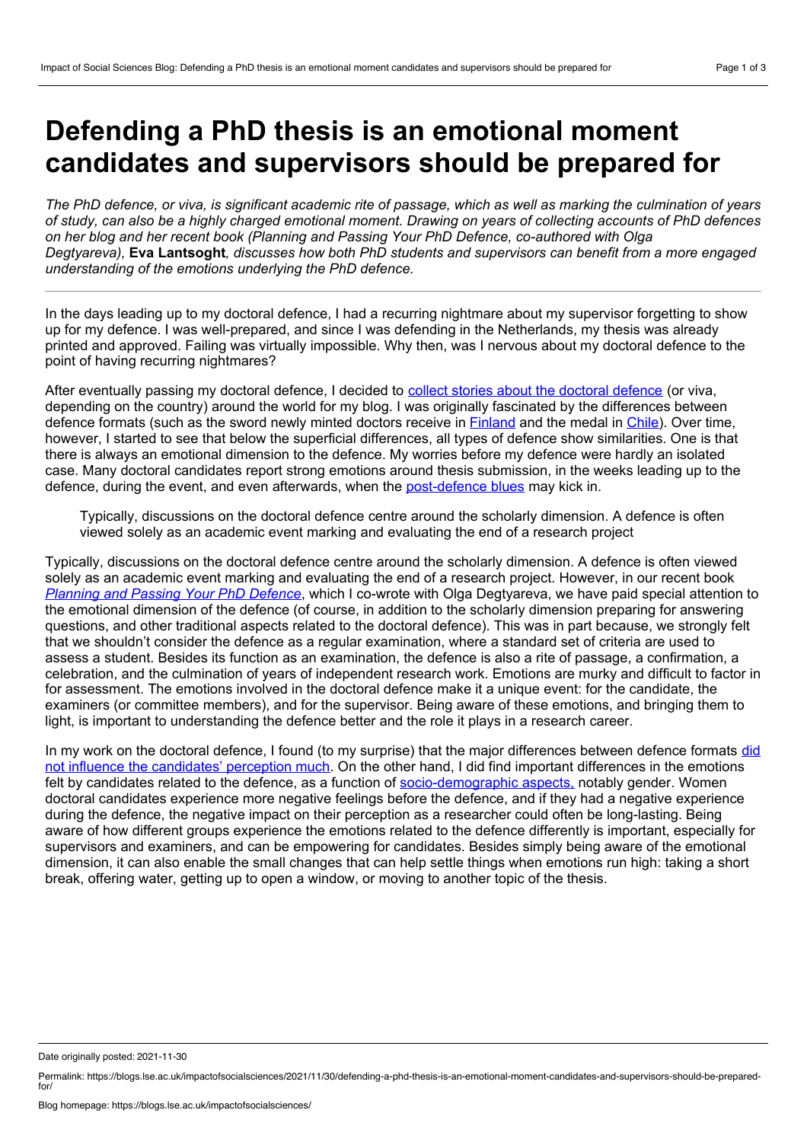## **Defending a PhD thesis is an emotional moment candidates and supervisors should be prepared for**

The PhD defence, or viva, is significant academic rite of passage, which as well as marking the culmination of vears of study, can also be a highly charged emotional moment. Drawing on years of collecting accounts of PhD defences *on her blog and her recent book (Planning and Passing Your PhD Defence, co-authored with Olga Degtyareva),* **Eva Lantsoght***, discusses how both PhD students and supervisors can benefit from amore engaged understanding of the emotions underlying the PhD defence.*

In the days leading up to my doctoral defence, I had a recurring nightmare about my supervisor forgetting to show up for my defence. I was well-prepared, and since I was defending in the Netherlands, my thesis was already printed and approved. Failing was virtually impossible. Why then, was I nervous about my doctoral defence to the point of having recurring nightmares?

After eventually passing my [doctoral](https://www.evalantsoght.com/?s=defenses+around+the+world) defence, I decided to collect stories about the doctoral defence (or viva, depending on the country) around the world for my blog. I was originally fascinated by the differences between defence formats (such as the sword newly minted doctors receive in [Finland](https://www.evalantsoght.com/2016/06/phd-defenses-around-the-world-a-defense-in-finland.html) and the medal in [Chile\)](https://www.evalantsoght.com/2016/03/phd-defenses-around-the-world-universidad-de-chile-and-university-of-groningen-the-netherlands.html). Over time, however, I started to see that below the superficial differences, all types of defence show similarities. One is that there is always an emotional dimension to the defence. My worries before my defence were hardly an isolated case. Many doctoral candidates report strong emotions around thesis submission, in the weeks leading up to the defence, during the event, and even afterwards, when the [post-defence](https://www.evalantsoght.com/2018/10/the-post-phd-blues.html) blues may kick in.

Typically, discussions on the doctoral defence centre around the scholarly dimension. A defence is often viewed solely as an academic event marking and evaluating the end of a research project

Typically, discussions on the doctoral defence centre around the scholarly dimension. A defence is often viewed solely as an academic event marking and evaluating the end of a research project. However, in our recent book *[Planning](https://www.routledge.com/Planning-and-Passing-Your-PhD-Defence-A-Global-Toolbox-for-Success/Degtyareva-Lantsoght/p/book/9780367366667) and Passing Your PhD Defence*, which I co-wrote with Olga Degtyareva, we have paid special attention to the emotional dimension of the defence (of course, in addition to the scholarly dimension preparing for answering questions, and other traditional aspects related to the doctoral defence). This was in part because, we strongly felt that we shouldn't consider the defence as a regular examination, where a standard set of criteria are used to assess a student. Besides its function as an examination, the defence is also a rite of passage, a confirmation, a celebration, and the culmination of years of independent research work. Emotions are murky and difficult to factor in for assessment. The emotions involved in the doctoral defence make it a unique event: for the candidate, the examiners (or committee members), and for the supervisor. Being aware of these emotions, and bringing them to light, is important to understanding the defence better and the role it plays in a research career.

In my work on the doctoral defence, I found (to my surprise) that the major differences between defence formats did not influence the [candidates'](https://doi.org/10.3390/educsci11090519) perception much. On the other hand, I did find important differences in the emotions felt by candidates related to the defence, as a function of [socio-demographic](https://doi.org/10.3390/educsci11090463) aspects, notably gender. Women doctoral candidates experience more negative feelings before the defence, and if they had a negative experience during the defence, the negative impact on their perception as a researcher could often be long-lasting. Being aware of how different groups experience the emotions related to the defence differently is important, especially for supervisors and examiners, and can be empowering for candidates. Besides simply being aware of the emotional dimension, it can also enable the small changes that can help settle things when emotions run high: taking a short break, offering water, getting up to open a window, or moving to another topic of the thesis.

Date originally posted: 2021-11-30

Permalink: https://blogs.lse.ac.uk/impactofsocialsciences/2021/11/30/defending-a-phd-thesis-is-an-emotional-moment-candidates-and-supervisors-should-be-prepared $for$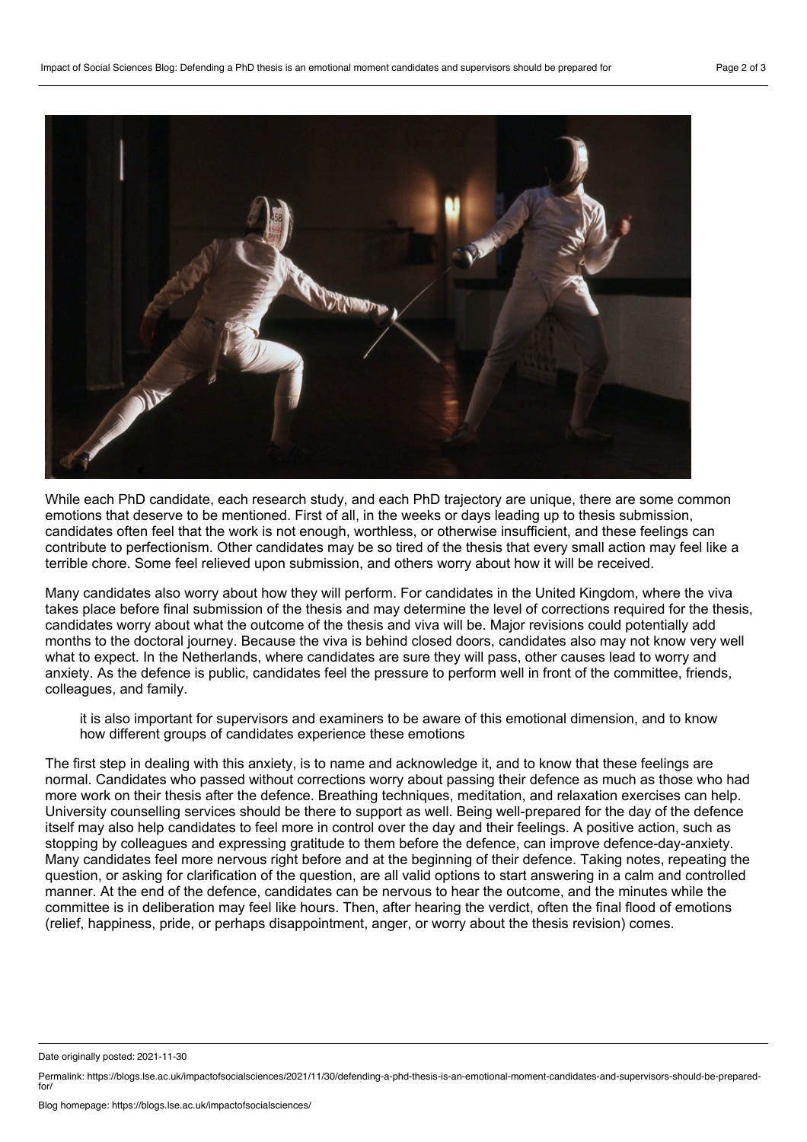

While each PhD candidate, each research study, and each PhD trajectory are unique, there are some common emotions that deserve to be mentioned. First of all, in the weeks or days leading up to thesis submission, candidates often feel that the work is not enough, worthless, or otherwise insufficient, and these feelings can contribute to perfectionism. Other candidates may be so tired of the thesis that every small action may feel like a terrible chore. Some feel relieved upon submission, and others worry about how it will be received.

Many candidates also worry about how they will perform. For candidates in the United Kingdom, where the viva takes place before final submission of the thesis and may determine the level of corrections required for the thesis, candidates worry about what the outcome of the thesis and viva will be. Major revisions could potentially add months to the doctoral journey. Because the viva is behind closed doors, candidates also may not know very well what to expect. In the Netherlands, where candidates are sure they will pass, other causes lead to worry and anxiety. As the defence is public, candidates feel the pressure to perform well in front of the committee, friends, colleagues, and family.

it is also important for supervisors and examiners to be aware of this emotional dimension, and to know how different groups of candidates experience these emotions

The first step in dealing with this anxiety, is to name and acknowledge it, and to know that these feelings are normal. Candidates who passed without corrections worry about passing their defence as much as those who had more work on their thesis after the defence. Breathing techniques, meditation, and relaxation exercises can help. University counselling services should be there to support as well. Being well-prepared for the day of the defence itself may also help candidates to feel more in control over the day and their feelings. A positive action, such as stopping by colleagues and expressing gratitude to them before the defence, can improve defence-day-anxiety. Many candidates feel more nervous right before and at the beginning of their defence. Taking notes, repeating the question, or asking for clarification of the question, are all valid options to start answering in a calm and controlled manner. At the end of the defence, candidates can be nervous to hear the outcome, and the minutes while the committee is in deliberation may feel like hours. Then, after hearing the verdict, often the final flood of emotions (relief, happiness, pride, or perhaps disappointment, anger, or worry about the thesis revision) comes.

Date originally posted: 2021-11-30

Permalink: https://blogs.lse.ac.uk/impactofsocialsciences/2021/11/30/defending-a-phd-thesis-is-an-emotional-moment-candidates-and-supervisors-should-be-prepared $for$